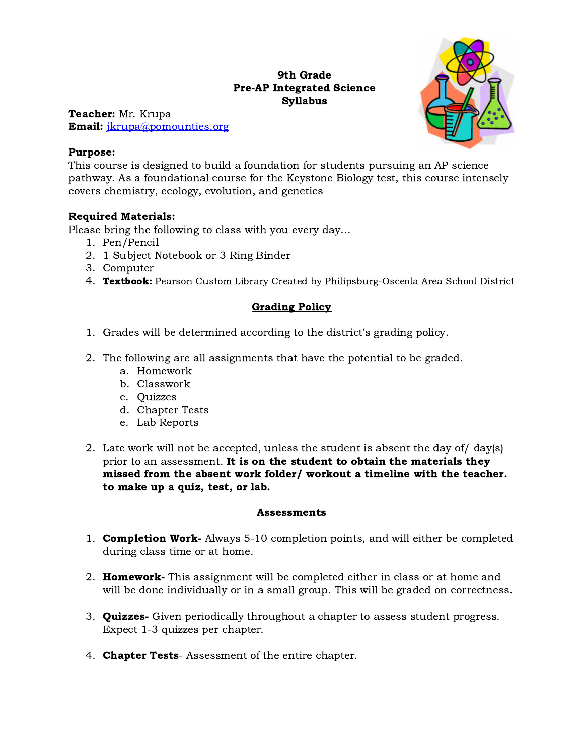## 9th Grade Pre-AP Integrated Science Syllabus



Teacher: Mr. Krupa Email: [jkrupa@pomounties.org](mailto:jkrupa@pomounties.org%20)

## Purpose:

This course is designed to build a foundation for students pursuing an AP science pathway. As a foundational course for the Keystone Biology test, this course intensely covers chemistry, ecology, evolution, and genetics

## Required Materials:

Please bring the following to class with you every day…

- 1. Pen/Pencil
- 2. 1 Subject Notebook or 3 Ring Binder
- 3. Computer
- 4. Textbook: Pearson Custom Library Created by Philipsburg-Osceola Area School District

## Grading Policy

- 1. Grades will be determined according to the district's grading policy.
- 2. The following are all assignments that have the potential to be graded.
	- a. Homework
	- b. Classwork
	- c. Quizzes
	- d. Chapter Tests
	- e. Lab Reports
- 2. Late work will not be accepted, unless the student is absent the day of/ day(s) prior to an assessment. It is on the student to obtain the materials they missed from the absent work folder/ workout a timeline with the teacher. to make up a quiz, test, or lab.

## **Assessments**

- 1. **Completion Work-** Always 5-10 completion points, and will either be completed during class time or at home.
- 2. Homework- This assignment will be completed either in class or at home and will be done individually or in a small group. This will be graded on correctness.
- 3. **Quizzes-** Given periodically throughout a chapter to assess student progress. Expect 1-3 quizzes per chapter.
- 4. **Chapter Tests**-Assessment of the entire chapter.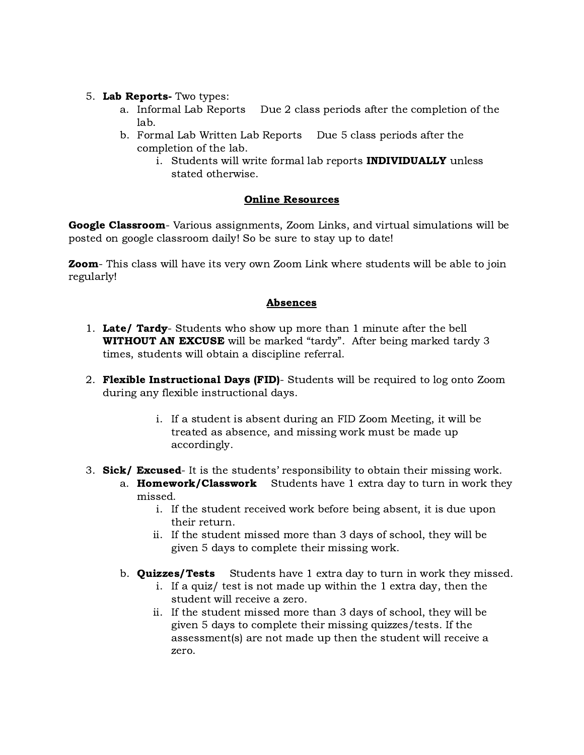## 5. Lab Reports- Two types:

- a. Informal Lab Reports Due 2 class periods after the completion of the lab.
- b. Formal Lab Written Lab Reports Due 5 class periods after the completion of the lab.
	- i. Students will write formal lab reports **INDIVIDUALLY** unless stated otherwise.

## Online Resources

Google Classroom- Various assignments, Zoom Links, and virtual simulations will be posted on google classroom daily! So be sure to stay up to date!

**Zoom**- This class will have its very own Zoom Link where students will be able to join regularly!

## Absences

- 1. Late/ Tardy- Students who show up more than 1 minute after the bell **WITHOUT AN EXCUSE** will be marked "tardy". After being marked tardy 3 times, students will obtain a discipline referral.
- 2. Flexible Instructional Days (FID)- Students will be required to log onto Zoom during any flexible instructional days.
	- i. If a student is absent during an FID Zoom Meeting, it will be treated as absence, and missing work must be made up accordingly.
- 3. Sick/ Excused- It is the students' responsibility to obtain their missing work.
	- a. **Homework/Classwork** Students have 1 extra day to turn in work they missed.
		- i. If the student received work before being absent, it is due upon their return.
		- ii. If the student missed more than 3 days of school, they will be given 5 days to complete their missing work.
	- b. **Quizzes/Tests** Students have 1 extra day to turn in work they missed.
		- i. If a quiz/ test is not made up within the 1 extra day, then the student will receive a zero.
		- ii. If the student missed more than 3 days of school, they will be given 5 days to complete their missing quizzes/tests. If the assessment(s) are not made up then the student will receive a zero.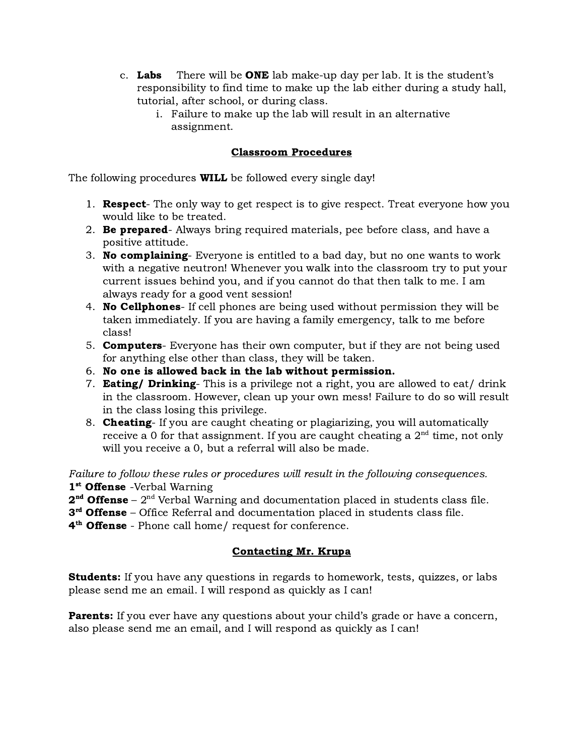- c. **Labs** There will be **ONE** lab make-up day per lab. It is the student's responsibility to find time to make up the lab either during a study hall, tutorial, after school, or during class.
	- i. Failure to make up the lab will result in an alternative assignment.

## Classroom Procedures

The following procedures **WILL** be followed every single day!

- 1. **Respect** The only way to get respect is to give respect. Treat everyone how you would like to be treated.
- 2. **Be prepared**-Always bring required materials, pee before class, and have a positive attitude.
- 3. No complaining- Everyone is entitled to a bad day, but no one wants to work with a negative neutron! Whenever you walk into the classroom try to put your current issues behind you, and if you cannot do that then talk to me. I am always ready for a good vent session!
- 4. **No Cellphones** If cell phones are being used without permission they will be taken immediately. If you are having a family emergency, talk to me before class!
- 5. **Computers** Everyone has their own computer, but if they are not being used for anything else other than class, they will be taken.
- 6. No one is allowed back in the lab without permission.
- 7. **Eating/ Drinking** This is a privilege not a right, you are allowed to eat/ drink in the classroom. However, clean up your own mess! Failure to do so will result in the class losing this privilege.
- 8. Cheating- If you are caught cheating or plagiarizing, you will automatically receive a 0 for that assignment. If you are caught cheating a  $2<sup>nd</sup>$  time, not only will you receive a 0, but a referral will also be made.

Failure to follow these rules or procedures will result in the following consequences. 1<sup>st</sup> Offense -Verbal Warning

 $2<sup>nd</sup>$  Offense –  $2<sup>nd</sup>$  Verbal Warning and documentation placed in students class file.

3<sup>rd</sup> Offense – Office Referral and documentation placed in students class file.

4<sup>th</sup> Offense - Phone call home/ request for conference.

## Contacting Mr. Krupa

**Students:** If you have any questions in regards to homework, tests, quizzes, or labs please send me an email. I will respond as quickly as I can!

**Parents:** If you ever have any questions about your child's grade or have a concern, also please send me an email, and I will respond as quickly as I can!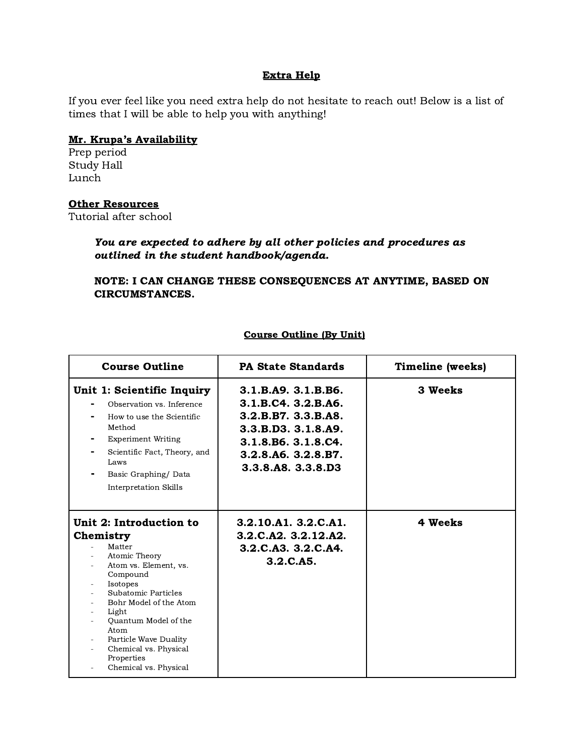#### Extra Help

If you ever feel like you need extra help do not hesitate to reach out! Below is a list of times that I will be able to help you with anything!

#### Mr. Krupa's Availability

Prep period Study Hall Lunch

#### **Other Resources**

Tutorial after school

## You are expected to adhere by all other policies and procedures as outlined in the student handbook/agenda.

## NOTE: I CAN CHANGE THESE CONSEQUENCES AT ANYTIME, BASED ON CIRCUMSTANCES.

| <b>Course Outline</b>                                                                                                                                                                                                                                                                               | <b>PA State Standards</b>                                                                                                                                   | Timeline (weeks) |
|-----------------------------------------------------------------------------------------------------------------------------------------------------------------------------------------------------------------------------------------------------------------------------------------------------|-------------------------------------------------------------------------------------------------------------------------------------------------------------|------------------|
| Unit 1: Scientific Inquiry<br>Observation vs. Inference<br>How to use the Scientific<br>Method<br><b>Experiment Writing</b><br>Scientific Fact, Theory, and<br>Laws<br>Basic Graphing/Data<br><b>Interpretation Skills</b>                                                                          | 3.1.B.A9. 3.1.B.B6.<br>3.1.B.C4. 3.2.B.A6.<br>3.2.B.B7. 3.3.B.A8.<br>3.3.B.D3.3.1.8.A9.<br>3.1.8.B6. 3.1.8.C4.<br>3.2.8.A6. 3.2.8.B7.<br>3.3.8.A8. 3.3.8.D3 | 3 Weeks          |
| Unit 2: Introduction to<br>Chemistry<br>Matter<br>Atomic Theory<br>Atom vs. Element, vs.<br>Compound<br>Isotopes<br>Subatomic Particles<br>Bohr Model of the Atom<br>Light<br>Quantum Model of the<br>Atom<br>Particle Wave Duality<br>Chemical vs. Physical<br>Properties<br>Chemical vs. Physical | 3.2.10.A1. 3.2.C.A1.<br>3.2.C.A2. 3.2.12.A2.<br>3.2.C.A3. 3.2.C.A4.<br>3.2.C.A5.                                                                            | 4 Weeks          |

#### Course Outline (By Unit)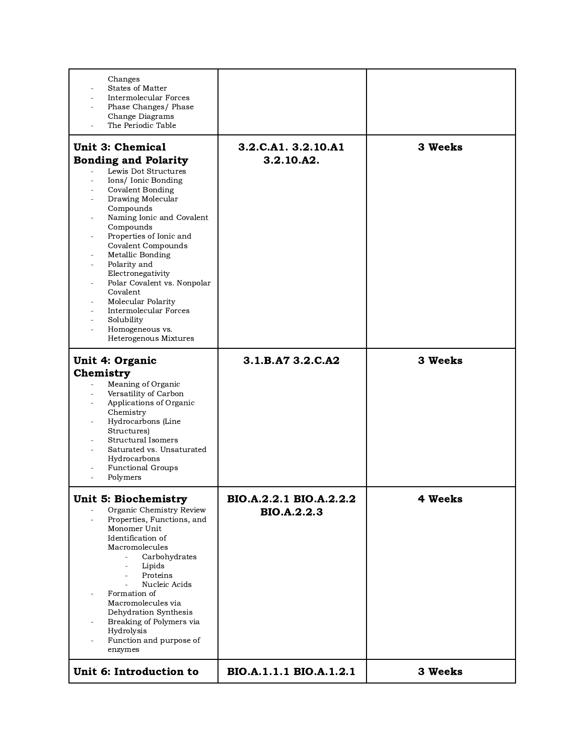| Changes<br><b>States of Matter</b><br>Intermolecular Forces<br>Phase Changes/ Phase<br>Change Diagrams<br>The Periodic Table                                                                                                                                                                                                                                                                                                                                                     |                                               |         |
|----------------------------------------------------------------------------------------------------------------------------------------------------------------------------------------------------------------------------------------------------------------------------------------------------------------------------------------------------------------------------------------------------------------------------------------------------------------------------------|-----------------------------------------------|---------|
| <b>Unit 3: Chemical</b><br><b>Bonding and Polarity</b><br>Lewis Dot Structures<br>Ions/Ionic Bonding<br><b>Covalent Bonding</b><br>Drawing Molecular<br>Compounds<br>Naming Ionic and Covalent<br>Compounds<br>Properties of Ionic and<br>Covalent Compounds<br>Metallic Bonding<br>Polarity and<br>Electronegativity<br>Polar Covalent vs. Nonpolar<br>Covalent<br>Molecular Polarity<br><b>Intermolecular Forces</b><br>Solubility<br>Homogeneous vs.<br>Heterogenous Mixtures | 3.2.C.A1. 3.2.10.A1<br>3.2.10.A2.             | 3 Weeks |
| Unit 4: Organic<br>Chemistry<br>Meaning of Organic<br>$\overline{\phantom{a}}$<br>Versatility of Carbon<br>Applications of Organic<br>Chemistry<br>Hydrocarbons (Line<br>Structures)<br><b>Structural Isomers</b><br>Saturated vs. Unsaturated<br>Hydrocarbons<br><b>Functional Groups</b><br>Polymers                                                                                                                                                                           | 3.1.B.A7 3.2.C.A2                             | 3 Weeks |
| <b>Unit 5: Biochemistry</b><br>Organic Chemistry Review<br>Properties, Functions, and<br>Monomer Unit<br>Identification of<br>Macromolecules<br>Carbohydrates<br>$\overline{\phantom{a}}$<br>Lipids<br>$\overline{\phantom{a}}$<br>Proteins<br>Nucleic Acids<br>Formation of<br>Macromolecules via<br>Dehydration Synthesis<br>Breaking of Polymers via<br>Hydrolysis<br>Function and purpose of<br>enzymes                                                                      | BIO.A.2.2.1 BIO.A.2.2.2<br><b>BIO.A.2.2.3</b> | 4 Weeks |
| Unit 6: Introduction to                                                                                                                                                                                                                                                                                                                                                                                                                                                          | BIO.A.1.1.1 BIO.A.1.2.1                       | 3 Weeks |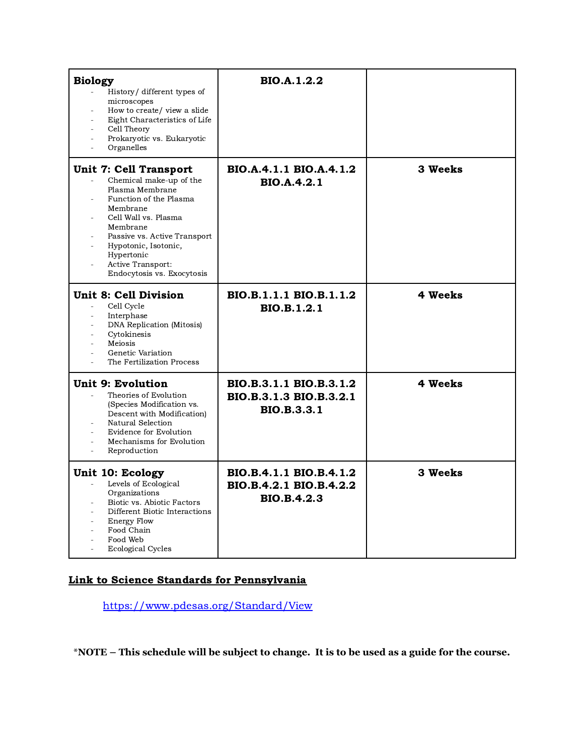| <b>Biology</b><br>History/ different types of<br>microscopes<br>How to create/ view a slide<br>Eight Characteristics of Life<br>Cell Theory<br>Prokaryotic vs. Eukaryotic<br>Organelles                                                                                 | <b>BIO.A.1.2.2</b>                                                       |         |
|-------------------------------------------------------------------------------------------------------------------------------------------------------------------------------------------------------------------------------------------------------------------------|--------------------------------------------------------------------------|---------|
| Unit 7: Cell Transport<br>Chemical make-up of the<br>Plasma Membrane<br>Function of the Plasma<br>Membrane<br>Cell Wall vs. Plasma<br>Membrane<br>Passive vs. Active Transport<br>Hypotonic, Isotonic,<br>Hypertonic<br>Active Transport:<br>Endocytosis vs. Exocytosis | BIO.A.4.1.1 BIO.A.4.1.2<br><b>BIO.A.4.2.1</b>                            | 3 Weeks |
| <b>Unit 8: Cell Division</b><br>Cell Cycle<br>$\overline{\phantom{a}}$<br>Interphase<br><b>DNA Replication (Mitosis)</b><br>Cytokinesis<br>Meiosis<br>Genetic Variation<br>The Fertilization Process                                                                    | BIO.B.1.1.1 BIO.B.1.1.2<br><b>BIO.B.1.2.1</b>                            | 4 Weeks |
| Unit 9: Evolution<br>Theories of Evolution<br>(Species Modification vs.<br>Descent with Modification)<br>Natural Selection<br><b>Evidence for Evolution</b><br>Mechanisms for Evolution<br>Reproduction                                                                 | BIO.B.3.1.1 BIO.B.3.1.2<br>BIO.B.3.1.3 BIO.B.3.2.1<br><b>BIO.B.3.3.1</b> | 4 Weeks |
| Unit 10: Ecology<br>Levels of Ecological<br>$\frac{1}{2}$<br>Organizations<br>Biotic vs. Abiotic Factors<br>Different Biotic Interactions<br>Energy Flow<br>Food Chain<br>Food Web<br><b>Ecological Cycles</b>                                                          | BIO.B.4.1.1 BIO.B.4.1.2<br>BIO.B.4.2.1 BIO.B.4.2.2<br><b>BIO.B.4.2.3</b> | 3 Weeks |

## Link to Science Standards for Pennsylvania

<https://www.pdesas.org/Standard/View>

\*NOTE - This schedule will be subject to change. It is to be used as a guide for the course.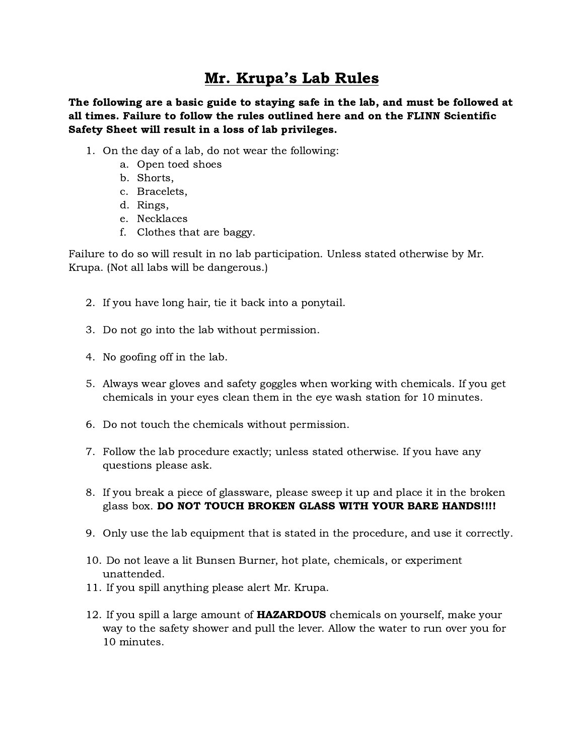# Mr. Krupa's Lab Rules

The following are a basic guide to staying safe in the lab, and must be followed at all times. Failure to follow the rules outlined here and on the FLINN Scientific Safety Sheet will result in a loss of lab privileges.

- 1. On the day of a lab, do not wear the following:
	- a. Open toed shoes
	- b. Shorts,
	- c. Bracelets,
	- d. Rings,
	- e. Necklaces
	- f. Clothes that are baggy.

Failure to do so will result in no lab participation. Unless stated otherwise by Mr. Krupa. (Not all labs will be dangerous.)

- 2. If you have long hair, tie it back into a ponytail.
- 3. Do not go into the lab without permission.
- 4. No goofing off in the lab.
- 5. Always wear gloves and safety goggles when working with chemicals. If you get chemicals in your eyes clean them in the eye wash station for 10 minutes.
- 6. Do not touch the chemicals without permission.
- 7. Follow the lab procedure exactly; unless stated otherwise. If you have any questions please ask.
- 8. If you break a piece of glassware, please sweep it up and place it in the broken glass box. DO NOT TOUCH BROKEN GLASS WITH YOUR BARE HANDS!!!!
- 9. Only use the lab equipment that is stated in the procedure, and use it correctly.
- 10. Do not leave a lit Bunsen Burner, hot plate, chemicals, or experiment unattended.
- 11. If you spill anything please alert Mr. Krupa.
- 12. If you spill a large amount of **HAZARDOUS** chemicals on yourself, make your way to the safety shower and pull the lever. Allow the water to run over you for 10 minutes.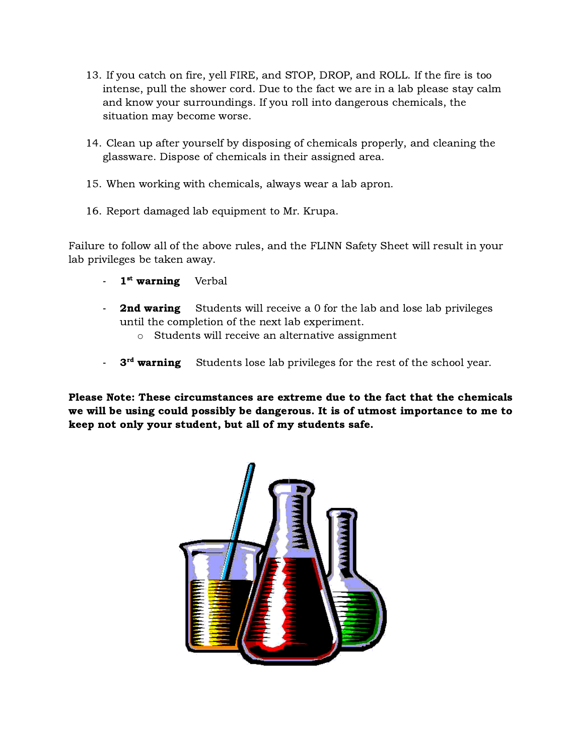- 13. If you catch on fire, yell FIRE, and STOP, DROP, and ROLL. If the fire is too intense, pull the shower cord. Due to the fact we are in a lab please stay calm and know your surroundings. If you roll into dangerous chemicals, the situation may become worse.
- 14. Clean up after yourself by disposing of chemicals properly, and cleaning the glassware. Dispose of chemicals in their assigned area.
- 15. When working with chemicals, always wear a lab apron.
- 16. Report damaged lab equipment to Mr. Krupa.

Failure to follow all of the above rules, and the FLINN Safety Sheet will result in your lab privileges be taken away.

- 1<sup>st</sup> warning Verbal
- **2nd waring** Students will receive a 0 for the lab and lose lab privileges until the completion of the next lab experiment.
	- o Students will receive an alternative assignment
- **3<sup>rd</sup> warning** Students lose lab privileges for the rest of the school year.

Please Note: These circumstances are extreme due to the fact that the chemicals we will be using could possibly be dangerous. It is of utmost importance to me to keep not only your student, but all of my students safe.